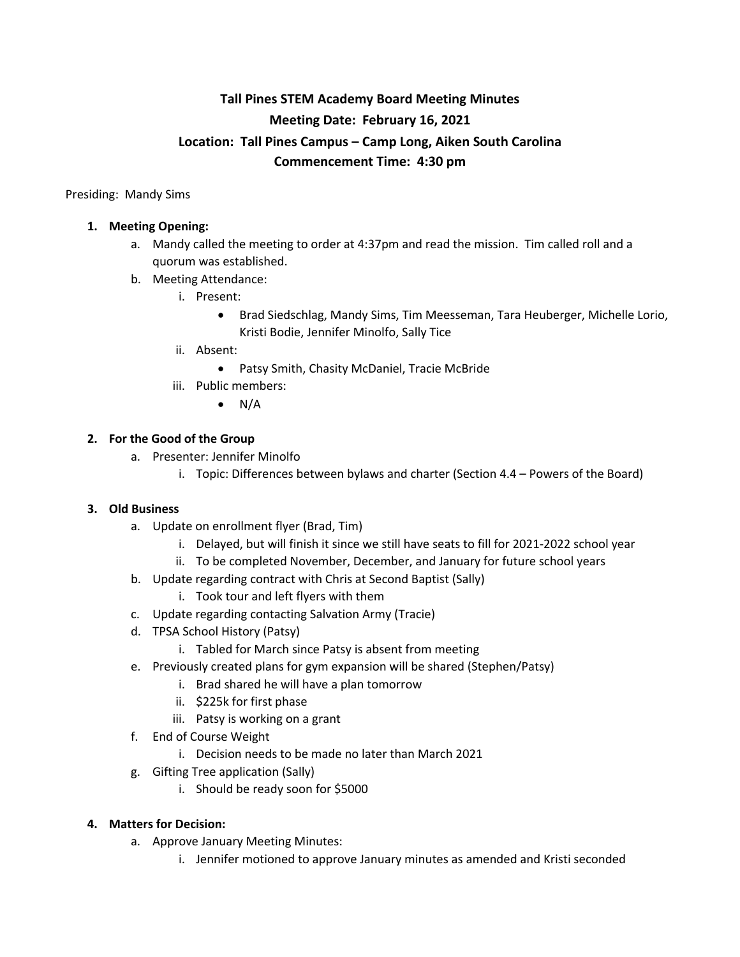# **Tall Pines STEM Academy Board Meeting Minutes Meeting Date: February 16, 2021 Location: Tall Pines Campus – Camp Long, Aiken South Carolina Commencement Time: 4:30 pm**

Presiding: Mandy Sims

# **1. Meeting Opening:**

- a. Mandy called the meeting to order at 4:37pm and read the mission. Tim called roll and a quorum was established.
- b. Meeting Attendance:
	- i. Present:
		- Brad Siedschlag, Mandy Sims, Tim Meesseman, Tara Heuberger, Michelle Lorio, Kristi Bodie, Jennifer Minolfo, Sally Tice
	- ii. Absent:
		- Patsy Smith, Chasity McDaniel, Tracie McBride
	- iii. Public members:
		- $\bullet$  N/A

# **2. For the Good of the Group**

- a. Presenter: Jennifer Minolfo
	- i. Topic: Differences between bylaws and charter (Section 4.4 Powers of the Board)

#### **3. Old Business**

- a. Update on enrollment flyer (Brad, Tim)
	- i. Delayed, but will finish it since we still have seats to fill for 2021-2022 school year
	- ii. To be completed November, December, and January for future school years
- b. Update regarding contract with Chris at Second Baptist (Sally)
	- i. Took tour and left flyers with them
- c. Update regarding contacting Salvation Army (Tracie)
- d. TPSA School History (Patsy)
	- i. Tabled for March since Patsy is absent from meeting
- e. Previously created plans for gym expansion will be shared (Stephen/Patsy)
	- i. Brad shared he will have a plan tomorrow
	- ii. \$225k for first phase
	- iii. Patsy is working on a grant
- f. End of Course Weight
	- i. Decision needs to be made no later than March 2021
- g. Gifting Tree application (Sally)
	- i. Should be ready soon for \$5000

### **4. Matters for Decision:**

- a. Approve January Meeting Minutes:
	- i. Jennifer motioned to approve January minutes as amended and Kristi seconded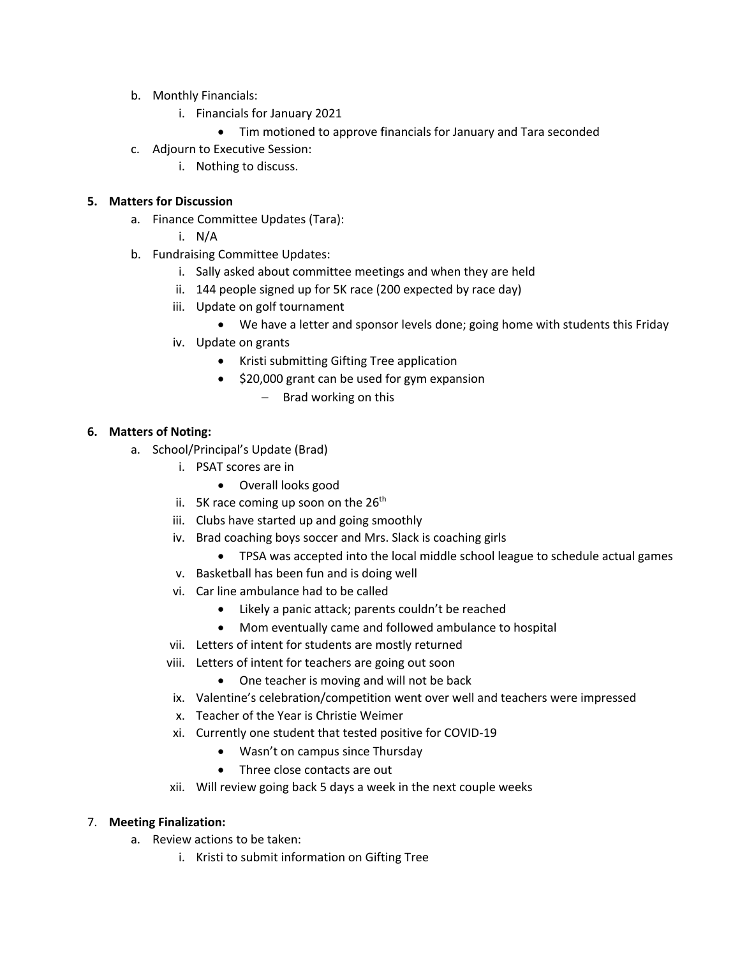- b. Monthly Financials:
	- i. Financials for January 2021
		- Tim motioned to approve financials for January and Tara seconded
- c. Adjourn to Executive Session:
	- i. Nothing to discuss.

#### **5. Matters for Discussion**

- a. Finance Committee Updates (Tara):
	- i. N/A
- b. Fundraising Committee Updates:
	- i. Sally asked about committee meetings and when they are held
	- ii. 144 people signed up for 5K race (200 expected by race day)
	- iii. Update on golf tournament
		- We have a letter and sponsor levels done; going home with students this Friday
	- iv. Update on grants
		- Kristi submitting Gifting Tree application
		- \$20,000 grant can be used for gym expansion
			- Brad working on this

# **6. Matters of Noting:**

- a. School/Principal's Update (Brad)
	- i. PSAT scores are in
		- Overall looks good
	- ii. 5K race coming up soon on the  $26<sup>th</sup>$
	- iii. Clubs have started up and going smoothly
	- iv. Brad coaching boys soccer and Mrs. Slack is coaching girls
		- TPSA was accepted into the local middle school league to schedule actual games
	- v. Basketball has been fun and is doing well
	- vi. Car line ambulance had to be called
		- Likely a panic attack; parents couldn't be reached
		- Mom eventually came and followed ambulance to hospital
	- vii. Letters of intent for students are mostly returned
	- viii. Letters of intent for teachers are going out soon
		- One teacher is moving and will not be back
	- ix. Valentine's celebration/competition went over well and teachers were impressed
	- x. Teacher of the Year is Christie Weimer
	- xi. Currently one student that tested positive for COVID-19
		- Wasn't on campus since Thursday
		- Three close contacts are out
	- xii. Will review going back 5 days a week in the next couple weeks

#### 7. **Meeting Finalization:**

- a. Review actions to be taken:
	- i. Kristi to submit information on Gifting Tree